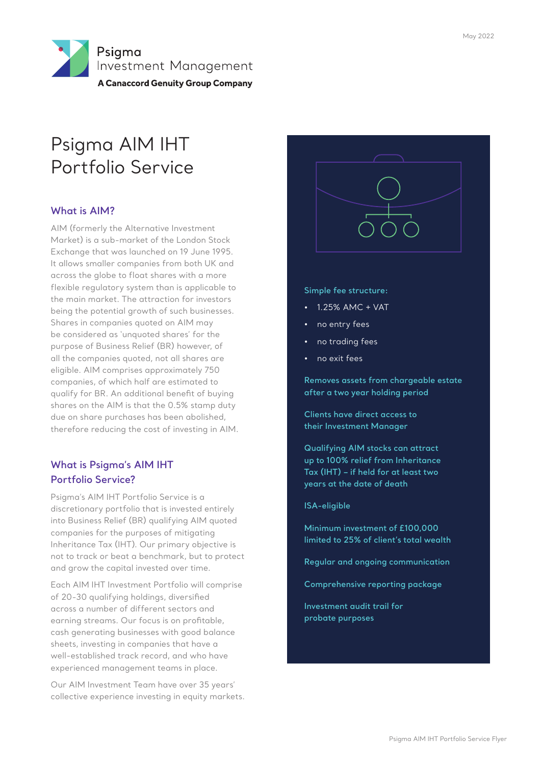

# Psigma AIM IHT Portfolio Service

## **What is AIM?**

AIM (formerly the Alternative Investment Market) is a sub-market of the London Stock Exchange that was launched on 19 June 1995. It allows smaller companies from both UK and across the globe to float shares with a more flexible regulatory system than is applicable to the main market. The attraction for investors being the potential growth of such businesses. Shares in companies quoted on AIM may be considered as 'unquoted shares' for the purpose of Business Relief (BR) however, of all the companies quoted, not all shares are eligible. AIM comprises approximately 750 companies, of which half are estimated to qualify for BR. An additional benefit of buying shares on the AIM is that the 0.5% stamp duty due on share purchases has been abolished, therefore reducing the cost of investing in AIM.

## **What is Psigma's AIM IHT Portfolio Service?**

Psigma's AIM IHT Portfolio Service is a discretionary portfolio that is invested entirely into Business Relief (BR) qualifying AIM quoted companies for the purposes of mitigating Inheritance Tax (IHT). Our primary objective is not to track or beat a benchmark, but to protect and grow the capital invested over time.

Each AIM IHT Investment Portfolio will comprise of 20-30 qualifying holdings, diversified across a number of different sectors and earning streams. Our focus is on profitable, cash generating businesses with good balance sheets, investing in companies that have a well-established track record, and who have experienced management teams in place.

Our AIM Investment Team have over 35 years' collective experience investing in equity markets.



#### **Simple fee structure:**

- 1.25% AMC + VAT
- no entry fees
- no trading fees
- no exit fees

**Removes assets from chargeable estate after a two year holding period**

**Clients have direct access to their Investment Manager**

**Qualifying AIM stocks can attract up to 100% relief from Inheritance Tax (IHT) – if held for at least two years at the date of death**

#### **ISA-eligible**

**Minimum investment of £100,000 limited to 25% of client's total wealth**

**Regular and ongoing communication**

**Comprehensive reporting package**

**Investment audit trail for probate purposes**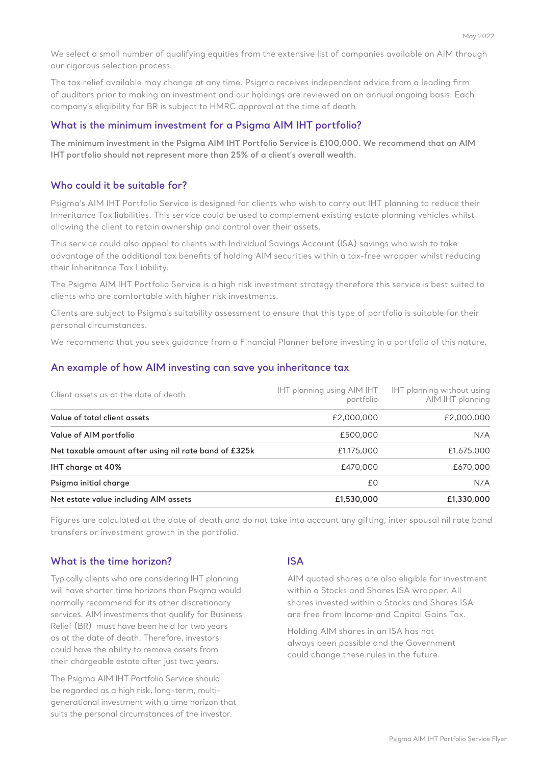We select a small number of qualifying equities from the extensive list of companies available on AIM through our rigorous selection process.

The tax relief available may change at any time. Psigma receives independent advice from a leading firm of auditors prior to making an investment and our holdings are reviewed on an annual ongoing basis. Each company's eligibility for BR is subject to HMRC approval at the time of death.

#### **What is the minimum investment for a Psigma AIM IHT portfolio?**

**The minimum investment in the Psigma AIM IHT Portfolio Service is £100,000. We recommend that an AIM IHT portfolio should not represent more than 25% of a client's overall wealth.**

#### **Who could it be suitable for?**

Psigma's AIM IHT Portfolio Service is designed for clients who wish to carry out IHT planning to reduce their Inheritance Tax liabilities. This service could be used to complement existing estate planning vehicles whilst allowing the client to retain ownership and control over their assets.

This service could also appeal to clients with Individual Savings Account (ISA) savings who wish to take advantage of the additional tax benefits of holding AIM securities within a tax-free wrapper whilst reducing their Inheritance Tax Liability.

The Psigma AIM IHT Portfolio Service is a high risk investment strategy therefore this service is best suited to clients who are comfortable with higher risk investments.

Clients are subject to Psigma's suitability assessment to ensure that this type of portfolio is suitable for their personal circumstances.

We recommend that you seek guidance from a Financial Planner before investing in a portfolio of this nature.

#### **An example of how AIM investing can save you inheritance tax**

| Client assets as at the date of death                 | IHT planning using AIM IHT<br>portfolio | IHT planning without using<br>AIM IHT planning |  |  |
|-------------------------------------------------------|-----------------------------------------|------------------------------------------------|--|--|
| Value of total client assets                          | £2,000,000                              | £2,000,000                                     |  |  |
| Value of AIM portfolio                                | £500,000                                | N/A                                            |  |  |
| Net taxable amount after using nil rate band of £325k | £1,175,000                              | £1,675,000                                     |  |  |
| IHT charge at 40%                                     | £470,000                                | £670,000                                       |  |  |
| Psigma initial charge                                 | £0                                      | N/A                                            |  |  |
| Net estate value including AIM assets                 | £1,530,000                              | £1,330,000                                     |  |  |

Figures are calculated at the date of death and do not take into account any gifting, inter spousal nil rate band transfers or investment growth in the portfolio.

#### **What is the time horizon?**

Typically clients who are considering IHT planning will have shorter time horizons than Psigma would normally recommend for its other discretionary services. AIM investments that qualify for Business Relief (BR) must have been held for two years as at the date of death. Therefore, investors could have the ability to remove assets from their chargeable estate after just two years.

The Psigma AIM IHT Portfolio Service should be regarded as a high risk, long-term, multigenerational investment with a time horizon that suits the personal circumstances of the investor.

#### **ISA**

AIM quoted shares are also eligible for investment within a Stocks and Shares ISA wrapper. All shares invested within a Stocks and Shares ISA are free from Income and Capital Gains Tax.

Holding AIM shares in an ISA has not always been possible and the Government could change these rules in the future.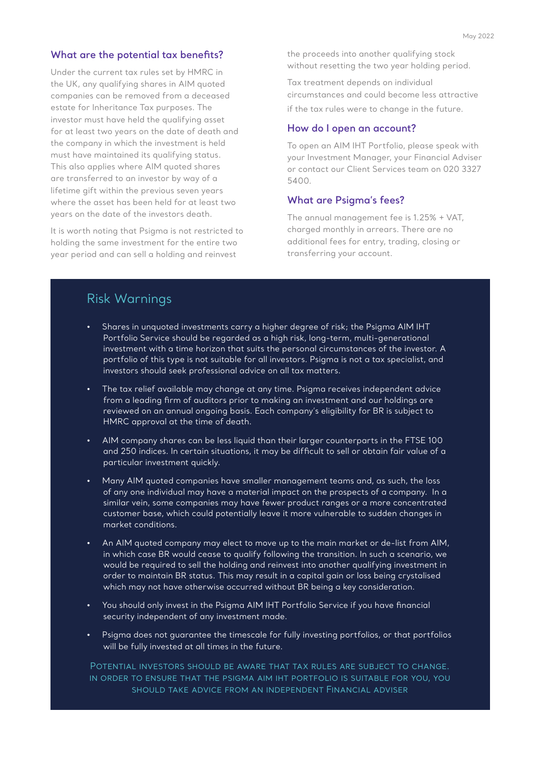#### **What are the potential tax benefits?**

Under the current tax rules set by HMRC in the UK, any qualifying shares in AIM quoted companies can be removed from a deceased estate for Inheritance Tax purposes. The investor must have held the qualifying asset for at least two years on the date of death and the company in which the investment is held must have maintained its qualifying status. This also applies where AIM quoted shares are transferred to an investor by way of a lifetime gift within the previous seven years where the asset has been held for at least two years on the date of the investors death.

It is worth noting that Psigma is not restricted to holding the same investment for the entire two year period and can sell a holding and reinvest

the proceeds into another qualifying stock without resetting the two year holding period.

Tax treatment depends on individual circumstances and could become less attractive if the tax rules were to change in the future.

#### **How do I open an account?**

To open an AIM IHT Portfolio, please speak with your Investment Manager, your Financial Adviser or contact our Client Services team on 020 3327 5400.

#### **What are Psigma's fees?**

The annual management fee is 1.25% + VAT, charged monthly in arrears. There are no additional fees for entry, trading, closing or transferring your account.

## Risk Warnings

- Shares in unquoted investments carry a higher degree of risk; the Psigma AIM IHT Portfolio Service should be regarded as a high risk, long-term, multi-generational investment with a time horizon that suits the personal circumstances of the investor. A portfolio of this type is not suitable for all investors. Psigma is not a tax specialist, and investors should seek professional advice on all tax matters.
- The tax relief available may change at any time. Psigma receives independent advice from a leading firm of auditors prior to making an investment and our holdings are reviewed on an annual ongoing basis. Each company's eligibility for BR is subject to HMRC approval at the time of death.
- AIM company shares can be less liquid than their larger counterparts in the FTSE 100 and 250 indices. In certain situations, it may be difficult to sell or obtain fair value of a particular investment quickly.
- Many AIM quoted companies have smaller management teams and, as such, the loss of any one individual may have a material impact on the prospects of a company. In a similar vein, some companies may have fewer product ranges or a more concentrated customer base, which could potentially leave it more vulnerable to sudden changes in market conditions.
- An AIM quoted company may elect to move up to the main market or de-list from AIM, in which case BR would cease to qualify following the transition. In such a scenario, we would be required to sell the holding and reinvest into another qualifying investment in order to maintain BR status. This may result in a capital gain or loss being crystalised which may not have otherwise occurred without BR being a key consideration.
- You should only invest in the Psigma AIM IHT Portfolio Service if you have financial security independent of any investment made.
- Psigma does not guarantee the timescale for fully investing portfolios, or that portfolios will be fully invested at all times in the future.

Potential investors should be aware that tax rules are subject to change. in order to ensure that the psigma aim iht portfolio is suitable for you, you should take advice from an independent Financial adviser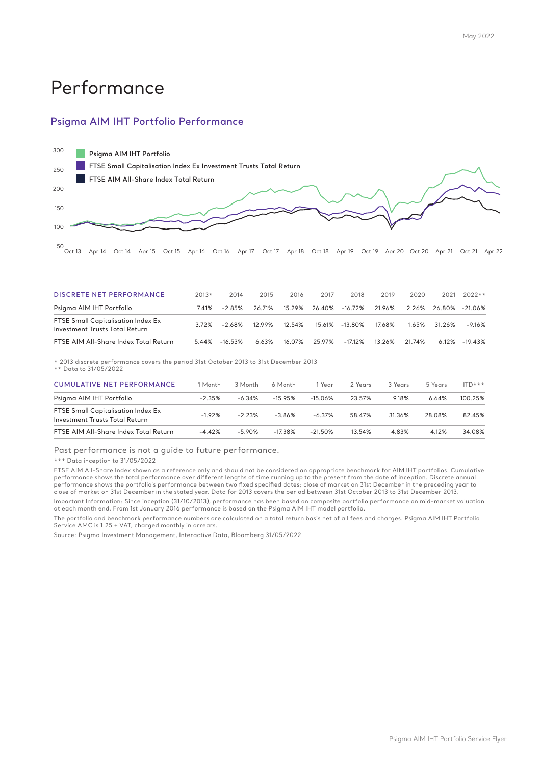# Performance

### **Psigma AIM IHT Portfolio Performance**



| <b>DISCRETE NET PERFORMANCE</b>                                             | $2013*$ | 2014       | 2015   | 2016   | 2017          | 2018                                                    | 2019   | 2020   | 2021         | $2022**$          |
|-----------------------------------------------------------------------------|---------|------------|--------|--------|---------------|---------------------------------------------------------|--------|--------|--------------|-------------------|
| Psigma AIM IHT Portfolio                                                    | 7.41%   | -2.85%     | 26.71% |        |               | 15.29%  26.40%  -16.72%  21.96%  2.26%  26.80%  -21.06% |        |        |              |                   |
| <b>FTSE Small Capitalisation Index Ex</b><br>Investment Trusts Total Return | 3.72%   | -2.68%     | 1299%  | 12.54% |               | 15.61% -13.80%                                          | 17.68% |        | 1.65% 31.26% | $-9.16%$          |
| FTSE AIM All-Share Index Total Return                                       | 5.44%   | $-16.53\%$ | 6 63%  |        | 16.07% 25.97% | -17.12%                                                 | 13.26% | 21 74% |              | $6.12\% -19.43\%$ |

\* 2013 discrete performance covers the period 31st October 2013 to 31st December 2013

\*\* Data to 31/05/2022

| l Month  | 3 Month   | 6 Month    | 1 Year     | 2 Years | 3 Years | 5 Years | $ITD***$ |
|----------|-----------|------------|------------|---------|---------|---------|----------|
| $-2.35%$ | $-6.34%$  | $-15.95%$  | $-15.06%$  | 23.57%  | 9.18%   | 6.64%   | 100.25%  |
| $-1.92%$ | $-2.23%$  | $-3.86\%$  | $-6.37\%$  | 58.47%  | 31.36%  | 28.08%  | 82.45%   |
| $-4.42%$ | $-5.90\%$ | $-17.38\%$ | $-21.50\%$ | 13.54%  | 4.83%   | 4.12%   | 34.08%   |
|          |           |            |            |         |         |         |          |

Past performance is not a guide to future performance.

\*\*\* Data inception to 31/05/2022

FTSE AIM All-Share Index shown as a reference only and should not be considered an appropriate benchmark for AIM IHT portfolios. Cumulative<br>performance shows the total performance over different lengths of time running up performance shows the portfolio's performance between two fixed specified dates; close of market on 31st December in the preceding year to<br>close of market on 31st December in the stated year. Data for 2013 covers the perio

Important Information: Since inception (31/10/2013), performance has been based on composite portfolio performance on mid-market valuation at each month end. From 1st January 2016 performance is based on the Psigma AIM IHT model portfolio.

The portfolio and benchmark performance numbers are calculated on a total return basis net of all fees and charges. Psigma AIM IHT Portfolio Service AMC is 1.25 + VAT, charged monthly in arrears.

Source: Psigma Investment Management, Interactive Data, Bloomberg 31/05/2022